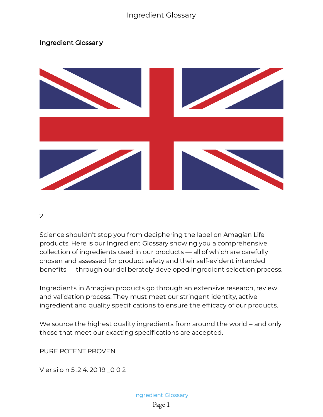## Ingredient Glossar y



2

Science shouldn't stop you from deciphering the label on Amagian Life products. Here is our Ingredient Glossary showing you a comprehensive collection of ingredients used in our products — all of which are carefully chosen and assessed for product safety and their self-evident intended benefits — through our deliberately developed ingredient selection process.

Ingredients in Amagian products go through an extensive research, review and validation process. They must meet our stringent identity, active ingredient and quality specifications to ensure the efficacy of our products.

We source the highest quality ingredients from around the world – and only those that meet our exacting specifications are accepted.

PURE POTENT PROVEN

V er si o n 5 .2 4. 20 19 \_0 0 2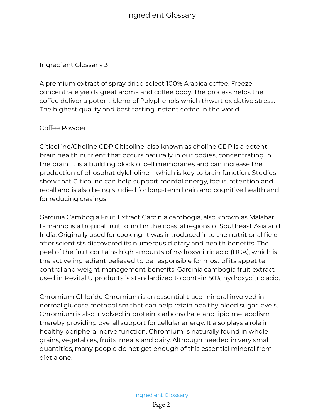Ingredient Glossar y 3

A premium extract of spray dried select 100% Arabica coffee. Freeze concentrate yields great aroma and coffee body. The process helps the coffee deliver a potent blend of Polyphenols which thwart oxidative stress. The highest quality and best tasting instant coffee in the world.

## Coffee Powder

Citicol ine/Choline CDP Citicoline, also known as choline CDP is a potent brain health nutrient that occurs naturally in our bodies, concentrating in the brain. It is a building block of cell membranes and can increase the production of phosphatidylcholine – which is key to brain function. Studies show that Citicoline can help support mental energy, focus, attention and recall and is also being studied for long-term brain and cognitive health and for reducing cravings.

Garcinia Cambogia Fruit Extract Garcinia cambogia, also known as Malabar tamarind is a tropical fruit found in the coastal regions of Southeast Asia and India. Originally used for cooking, it was introduced into the nutritional field after scientists discovered its numerous dietary and health benefits. The peel of the fruit contains high amounts of hydroxycitric acid (HCA), which is the active ingredient believed to be responsible for most of its appetite control and weight management benefits. Garcinia cambogia fruit extract used in Revital U products is standardized to contain 50% hydroxycitric acid.

Chromium Chloride Chromium is an essential trace mineral involved in normal glucose metabolism that can help retain healthy blood sugar levels. Chromium is also involved in protein, carbohydrate and lipid metabolism thereby providing overall support for cellular energy. It also plays a role in healthy peripheral nerve function. Chromium is naturally found in whole grains, vegetables, fruits, meats and dairy. Although needed in very small quantities, many people do not get enough of this essential mineral from diet alone.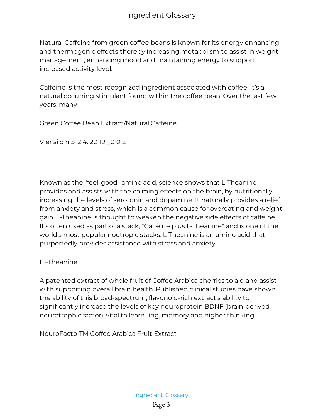Natural Caffeine from green coffee beans is known for its energy enhancing and thermogenic effects thereby increasing metabolism to assist in weight management, enhancing mood and maintaining energy to support increased activity level.

Caffeine is the most recognized ingredient associated with coffee. It's a natural occurring stimulant found within the coffee bean. Over the last few years, many

Green Coffee Bean Extract/Natural Caffeine

V er si o n 5.24.2019 0 0 2

Known as the "feel-good" amino acid, science shows that L-Theanine provides and assists with the calming effects on the brain, by nutritionally increasing the levels of serotonin and dopamine. It naturally provides a relief from anxiety and stress, which is a common cause for overeating and weight gain. L-Theanine is thought to weaken the negative side effects of caffeine. It's often used as part of a stack, "Caffeine plus L-Theanine" and is one of the world's most popular nootropic stacks. L-Theanine is an amino acid that purportedly provides assistance with stress and anxiety.

## L –Theanine

A patented extract of whole fruit of Coffee Arabica cherries to aid and assist with supporting overall brain health. Published clinical studies have shown the ability of this broad-spectrum, flavonoid-rich extract's ability to significantly increase the levels of key neuroprotein BDNF (brain-derived neurotrophic factor), vital to learn- ing, memory and higher thinking.

NeuroFactorTM Coffee Arabica Fruit Extract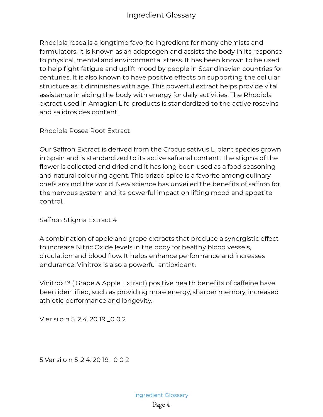Rhodiola rosea is a longtime favorite ingredient for many chemists and formulators. It is known as an adaptogen and assists the body in its response to physical, mental and environmental stress. It has been known to be used to help fight fatigue and uplift mood by people in Scandinavian countries for centuries. It is also known to have positive effects on supporting the cellular structure as it diminishes with age. This powerful extract helps provide vital assistance in aiding the body with energy for daily activities. The Rhodiola extract used in Amagian Life products is standardized to the active rosavins and salidrosides content.

Rhodiola Rosea Root Extract

Our Saffron Extract is derived from the Crocus sativus L. plant species grown in Spain and is standardized to its active safranal content. The stigma of the flower is collected and dried and it has long been used as a food seasoning and natural colouring agent. This prized spice is a favorite among culinary chefs around the world. New science has unveiled the benefits of saffron for the nervous system and its powerful impact on lifting mood and appetite control.

Saffron Stigma Extract 4

A combination of apple and grape extracts that produce a synergistic effect to increase Nitric Oxide levels in the body for healthy blood vessels, circulation and blood flow. It helps enhance performance and increases endurance. Vinitrox is also a powerful antioxidant.

Vinitrox<sup>™</sup> (Grape & Apple Extract) positive health benefits of caffeine have been identified, such as providing more energy, sharper memory, increased athletic performance and longevity.

V er si o n 5.24.2019 0 0 2

5 Ver si o n 5 .2 4. 20 19 \_0 0 2